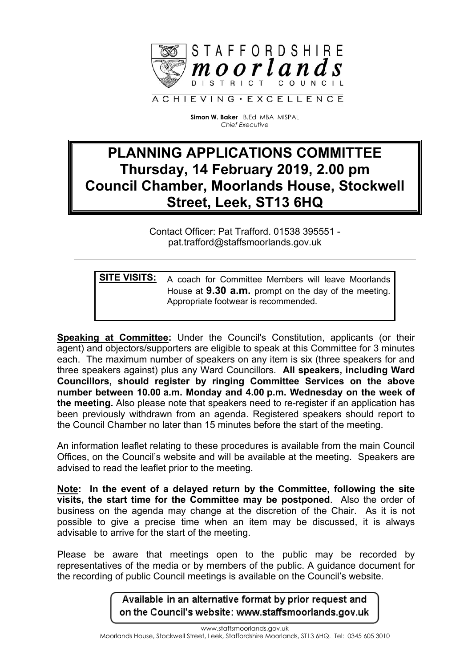

**Simon W. Baker** B.Ed MBA MISPAL *Chief Executive*

# **PLANNING APPLICATIONS COMMITTEE Thursday, 14 February 2019, 2.00 pm Council Chamber, Moorlands House, Stockwell Street, Leek, ST13 6HQ**

Contact Officer: Pat Trafford. 01538 395551 pat.trafford@staffsmoorlands.gov.uk

**SITE VISITS:** A coach for Committee Members will leave Moorlands House at **9.30 a.m.** prompt on the day of the meeting. Appropriate footwear is recommended.

**Speaking at Committee:** Under the Council's Constitution, applicants (or their agent) and objectors/supporters are eligible to speak at this Committee for 3 minutes each. The maximum number of speakers on any item is six (three speakers for and three speakers against) plus any Ward Councillors. **All speakers, including Ward Councillors, should register by ringing Committee Services on the above number between 10.00 a.m. Monday and 4.00 p.m. Wednesday on the week of the meeting.** Also please note that speakers need to re-register if an application has been previously withdrawn from an agenda. Registered speakers should report to the Council Chamber no later than 15 minutes before the start of the meeting.

An information leaflet relating to these procedures is available from the main Council Offices, on the Council's website and will be available at the meeting. Speakers are advised to read the leaflet prior to the meeting.

**Note: In the event of a delayed return by the Committee, following the site visits, the start time for the Committee may be postponed**. Also the order of business on the agenda may change at the discretion of the Chair. As it is not possible to give a precise time when an item may be discussed, it is always advisable to arrive for the start of the meeting.

Please be aware that meetings open to the public may be recorded by representatives of the media or by members of the public. A guidance document for the recording of public Council meetings is available on the Council's website.

> Available in an alternative format by prior request and on the Council's website: www.staffsmoorlands.gov.uk

www.staffsmoorlands.gov.uk Moorlands House, Stockwell Street, Leek, Staffordshire Moorlands, ST13 6HQ. Tel: 0345 605 3010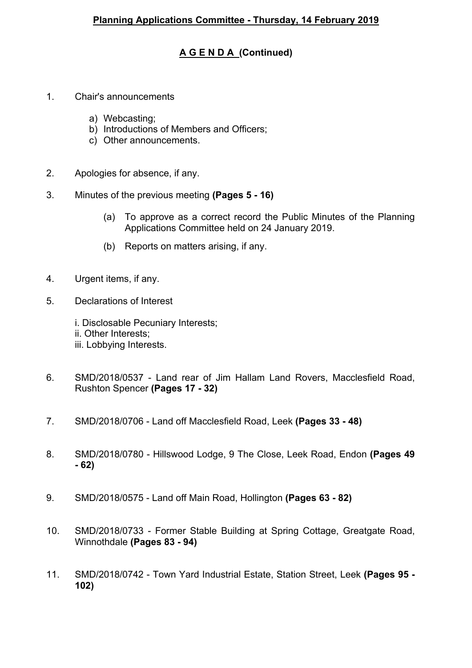## **A G E N D A (Continued)**

- 1. Chair's announcements
	- a) Webcasting;
	- b) Introductions of Members and Officers;
	- c) Other announcements.
- 2. Apologies for absence, if any.
- 3. Minutes of the previous meeting **(Pages 5 - 16)**
	- (a) To approve as a correct record the Public Minutes of the Planning Applications Committee held on 24 January 2019.
	- (b) Reports on matters arising, if any.
- 4. Urgent items, if any.
- 5. Declarations of Interest

i. Disclosable Pecuniary Interests; ii. Other Interests; iii. Lobbying Interests.

- 6. SMD/2018/0537 Land rear of Jim Hallam Land Rovers, Macclesfield Road, Rushton Spencer **(Pages 17 - 32)**
- 7. SMD/2018/0706 Land off Macclesfield Road, Leek **(Pages 33 - 48)**
- 8. SMD/2018/0780 Hillswood Lodge, 9 The Close, Leek Road, Endon **(Pages 49 - 62)**
- 9. SMD/2018/0575 Land off Main Road, Hollington **(Pages 63 - 82)**
- 10. SMD/2018/0733 Former Stable Building at Spring Cottage, Greatgate Road, Winnothdale **(Pages 83 - 94)**
- 11. SMD/2018/0742 Town Yard Industrial Estate, Station Street, Leek **(Pages 95 - 102)**